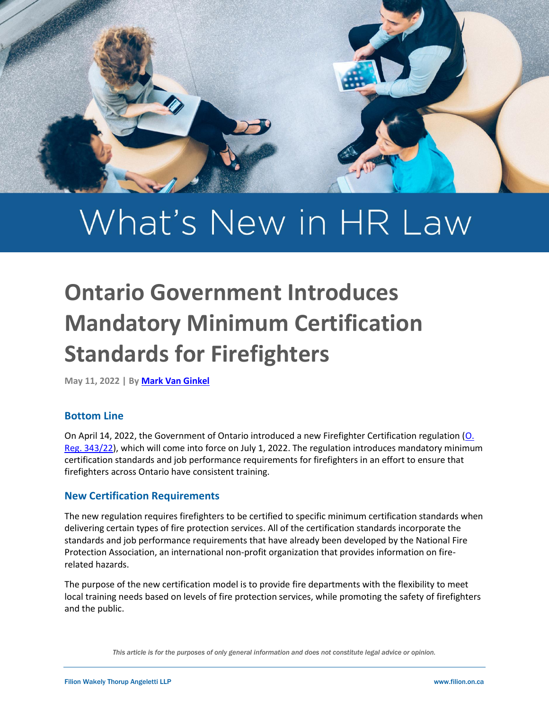

# What's New in HR Law

# **Ontario Government Introduces Mandatory Minimum Certification Standards for Firefighters**

**May 11, 2022 | B[y Mark Van Ginkel](https://filion.on.ca/lawyers/mark-van-ginkel/)**

# **Bottom Line**

On April 14, 2022, the Government of Ontario introduced a new Firefighter Certification regulation (O. [Reg. 343/22\)](https://www.ontario.ca/laws/regulation/r22343), which will come into force on July 1, 2022. The regulation introduces mandatory minimum certification standards and job performance requirements for firefighters in an effort to ensure that firefighters across Ontario have consistent training.

# **New Certification Requirements**

The new regulation requires firefighters to be certified to specific minimum certification standards when delivering certain types of fire protection services. All of the certification standards incorporate the standards and job performance requirements that have already been developed by the National Fire Protection Association, an international non-profit organization that provides information on firerelated hazards.

The purpose of the new certification model is to provide fire departments with the flexibility to meet local training needs based on levels of fire protection services, while promoting the safety of firefighters and the public.

*This article is for the purposes of only general information and does not constitute legal advice or opinion.*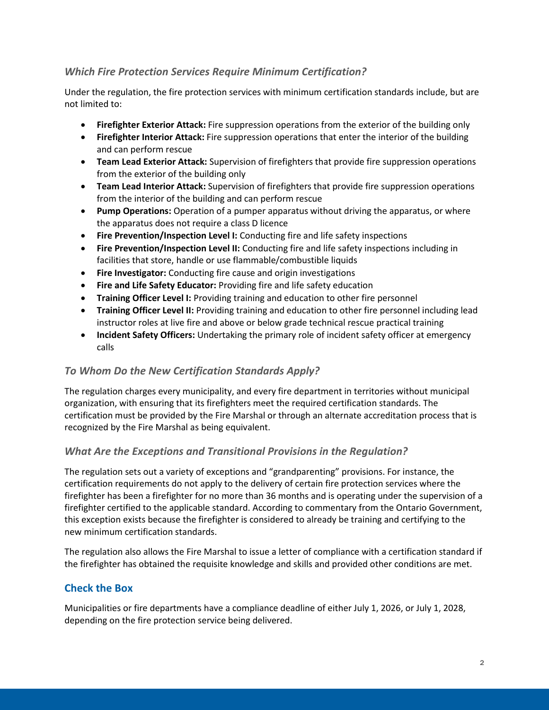# *Which Fire Protection Services Require Minimum Certification?*

Under the regulation, the fire protection services with minimum certification standards include, but are not limited to:

- **Firefighter Exterior Attack:** Fire suppression operations from the exterior of the building only
- **Firefighter Interior Attack:** Fire suppression operations that enter the interior of the building and can perform rescue
- **Team Lead Exterior Attack:** Supervision of firefighters that provide fire suppression operations from the exterior of the building only
- **Team Lead Interior Attack:** Supervision of firefighters that provide fire suppression operations from the interior of the building and can perform rescue
- **Pump Operations:** Operation of a pumper apparatus without driving the apparatus, or where the apparatus does not require a class D licence
- **Fire Prevention/Inspection Level I:** Conducting fire and life safety inspections
- **Fire Prevention/Inspection Level II:** Conducting fire and life safety inspections including in facilities that store, handle or use flammable/combustible liquids
- **Fire Investigator:** Conducting fire cause and origin investigations
- **Fire and Life Safety Educator:** Providing fire and life safety education
- **Training Officer Level I:** Providing training and education to other fire personnel
- **Training Officer Level II:** Providing training and education to other fire personnel including lead instructor roles at live fire and above or below grade technical rescue practical training
- **Incident Safety Officers:** Undertaking the primary role of incident safety officer at emergency calls

#### *To Whom Do the New Certification Standards Apply?*

The regulation charges every municipality, and every fire department in territories without municipal organization, with ensuring that its firefighters meet the required certification standards. The certification must be provided by the Fire Marshal or through an alternate accreditation process that is recognized by the Fire Marshal as being equivalent.

#### *What Are the Exceptions and Transitional Provisions in the Regulation?*

The regulation sets out a variety of exceptions and "grandparenting" provisions. For instance, the certification requirements do not apply to the delivery of certain fire protection services where the firefighter has been a firefighter for no more than 36 months and is operating under the supervision of a firefighter certified to the applicable standard. According to commentary from the Ontario Government, this exception exists because the firefighter is considered to already be training and certifying to the new minimum certification standards.

The regulation also allows the Fire Marshal to issue a letter of compliance with a certification standard if the firefighter has obtained the requisite knowledge and skills and provided other conditions are met.

# **Check the Box**

Municipalities or fire departments have a compliance deadline of either July 1, 2026, or July 1, 2028, depending on the fire protection service being delivered.